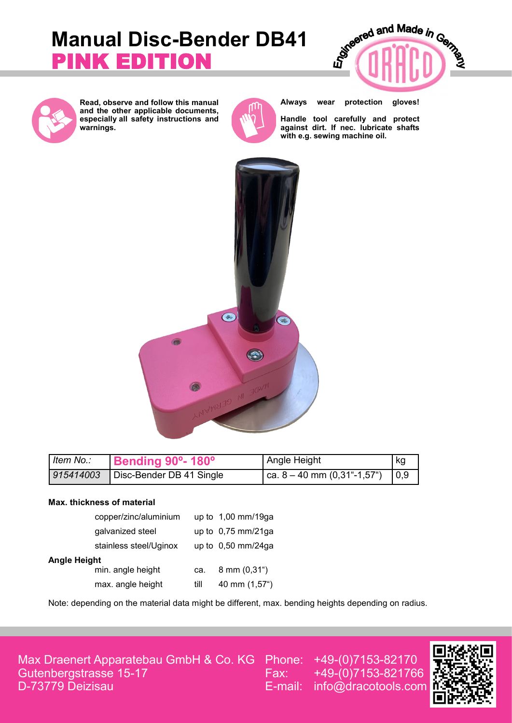# **Manual Disc-Bender DB41**  PINK EDITION





**Read, observe and follow this manual and the other applicable documents, especially all safety instructions and warnings.**



**Always wear protection gloves!**

**Handle tool carefully and protect against dirt. If nec. lubricate shafts with e.g. sewing machine oil.**



| Item No.: | Bending 90°-180°         | Angle Height                                          | kg |
|-----------|--------------------------|-------------------------------------------------------|----|
| 915414003 | Disc-Bender DB 41 Single | ca. $8 - 40$ mm $(0,31^{\circ} - 1,57^{\circ})$   0,9 |    |

#### **Max. thickness of material**

|              | copper/zinc/aluminium  |      | up to 1,00 mm/19ga             |  |  |
|--------------|------------------------|------|--------------------------------|--|--|
|              | galvanized steel       |      | up to $0,75$ mm/21ga           |  |  |
|              | stainless steel/Uginox |      | up to $0,50$ mm/24ga           |  |  |
| Angle Height |                        |      |                                |  |  |
|              | min. angle height      | ca.  | $8 \text{ mm } (0,31^{\circ})$ |  |  |
|              | max. angle height      | till | 40 mm (1,57")                  |  |  |

Note: depending on the material data might be different, max. bending heights depending on radius.

Max Draenert Apparatebau GmbH & Co. KG Gutenbergstrasse 15-17 D-73779 Deizisau

Phone: +49-(0)7153-82170 Fax: +49-(0)7153-821766 E-mail: info@dracotools.com